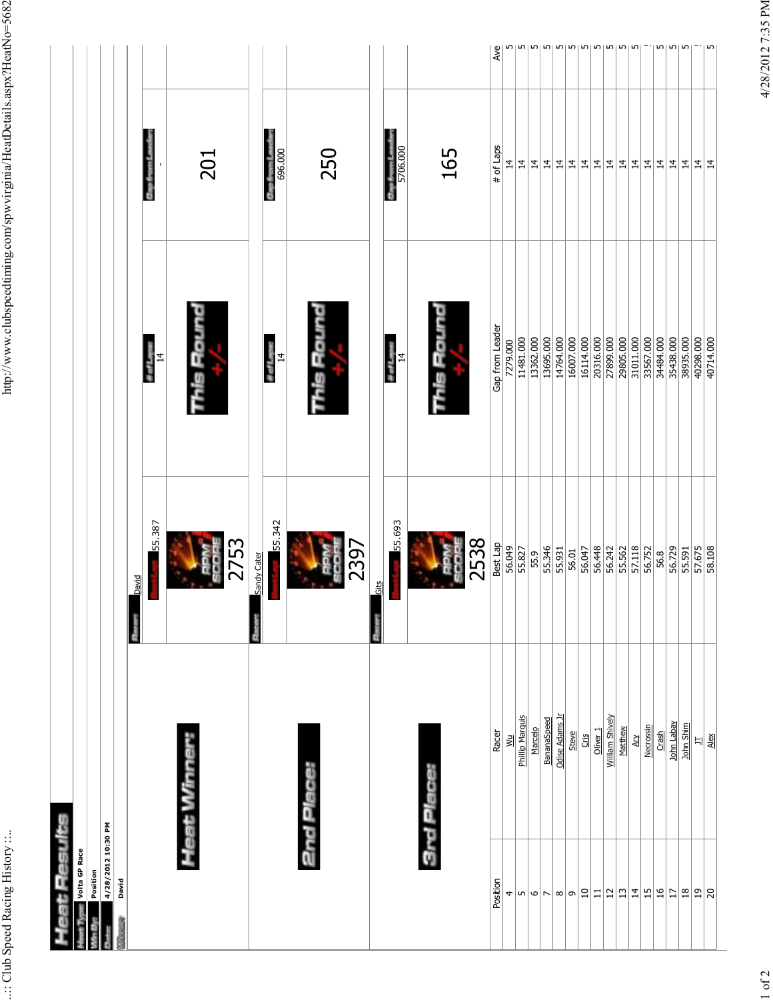| Volta GP Race      |                             |              |                              |                 |                 |
|--------------------|-----------------------------|--------------|------------------------------|-----------------|-----------------|
|                    |                             |              |                              |                 |                 |
| Position           |                             |              |                              |                 |                 |
| 4/28/2012 10:30 PM |                             |              |                              |                 |                 |
| David              |                             |              |                              |                 |                 |
|                    |                             | <b>David</b> |                              |                 |                 |
|                    |                             | 55.387       | th of Lapin<br>$\frac{1}{4}$ | Gap from L      |                 |
|                    |                             |              |                              |                 |                 |
|                    | Heat Winner:                |              | nis Round                    |                 |                 |
|                    |                             | ū            |                              | 201             |                 |
|                    |                             | ğ            |                              |                 |                 |
|                    |                             | 2753         |                              |                 |                 |
|                    |                             | Sandy Cater  |                              |                 |                 |
|                    |                             |              | $\frac{d}{d}$ of Lapus       | <b>Cap from</b> |                 |
|                    |                             | 55.342       |                              | 696.000         |                 |
|                    |                             |              |                              |                 |                 |
| 2nd Plac           |                             |              |                              |                 |                 |
|                    |                             |              |                              |                 |                 |
|                    |                             |              |                              | 250             |                 |
|                    |                             |              |                              |                 |                 |
|                    |                             | 2397         |                              |                 |                 |
|                    |                             | Gits         |                              |                 |                 |
|                    |                             |              | # of Laps:                   | Gap from L      |                 |
|                    |                             | 55.693       | $\frac{4}{5}$                | 5706.000        |                 |
|                    |                             |              |                              |                 |                 |
|                    | 3rd Place:                  |              |                              |                 |                 |
|                    |                             | å            | ğ<br>ij                      | 165             |                 |
|                    |                             | 99           |                              |                 |                 |
|                    |                             | 2538         |                              |                 |                 |
| Position           | Racer                       | Best Lap     | Gap from Leader              | # of Laps       | Ave             |
| 4                  | $\leq$                      | 56.049       | 7279.000                     | $\overline{4}$  |                 |
| $\sqrt{2}$         | Phillip Marquis             | 55.827       | 11481.000                    | $\overline{4}$  |                 |
| $ \bm{\circ} $ r   | Marcelo                     | 55.9         | 13362.000                    | $\overline{4}$  |                 |
|                    | BananaSpeed                 | 55.346       | 13695.000                    | $\overline{4}$  | س               |
| $\infty$           | Odise Adams Jr              | 55.931       | 14764.000                    | $\overline{4}$  |                 |
| ഗ                  | Steve                       | 56.01        | 16007.000                    | $\overline{4}$  | m               |
| $\vert$ 0          | Cris                        | 56.047       | 16114.000                    | $\overline{4}$  | Ln,             |
| $\Xi$              | Oliver <sub>1</sub>         | 56.448       | 20316.000                    | $\overline{4}$  | m               |
| $\vert$ 2          | William Shively             | 56.242       | 27899.000                    | $\overline{4}$  | m               |
| $ \mathfrak{v} $   | Matthew                     | 55.562       | 29805.000                    | $\overline{14}$ | Lŋ              |
| $\frac{4}{7}$      | $\overline{A}$              | 57.118       | 31011.000                    | $\overline{4}$  | LO <sub>1</sub> |
| $\frac{15}{2}$     | Necrossin                   | 56.752       | 33567.000                    | $\overline{4}$  |                 |
| $\frac{6}{1}$      | Crash                       | 56.8         | 34484.000                    | $\overline{4}$  | m               |
| $\overline{17}$    | John Labay                  | 56.729       | 35438.000                    | $\overline{1}$  | Lŋ              |
| $18\,$             | John Shim                   | 55.591       | 38935.000                    | $\overline{4}$  | Ln,             |
| <u>ສ</u> $ 8$      | $\Xi$                       | 57.675       | 40298.000                    | $\overline{4}$  |                 |
|                    | $\frac{\text{A}}{\text{A}}$ | 58.108       | 40714.000                    | $\overline{1}$  |                 |